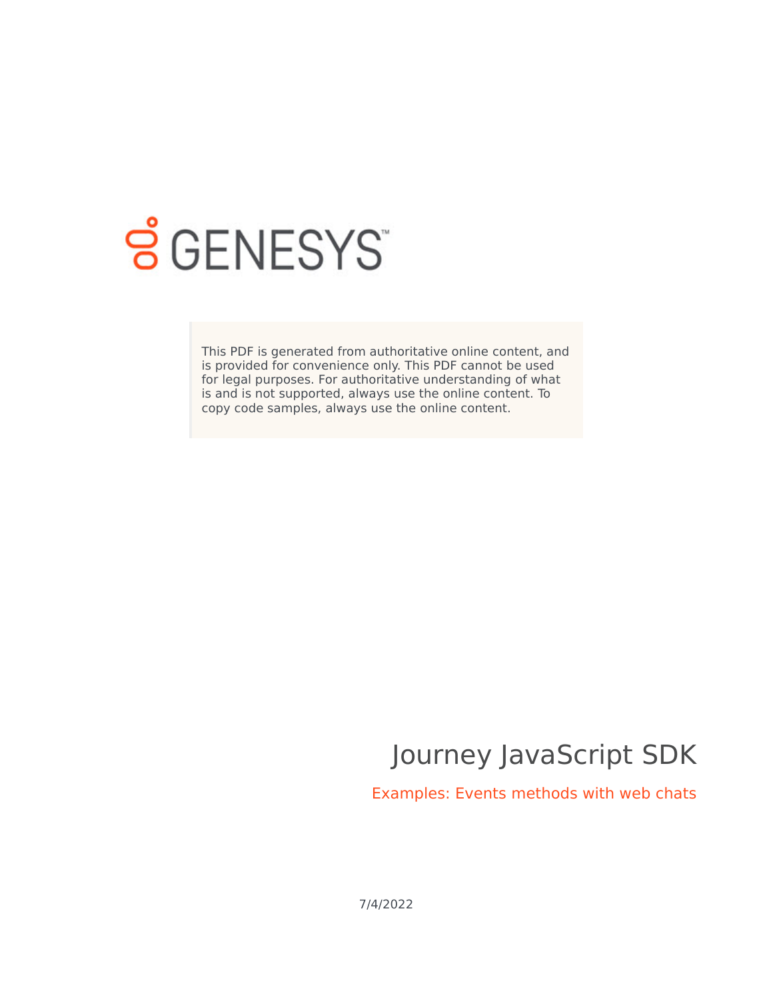

# **SGENESYS**

This PDF is generated from authoritative online content, and is provided for convenience only. This PDF cannot be used for legal purposes. For authoritative understanding of what is and is not supported, always use the online content. To copy code samples, always use the online content.

# Journey JavaScript SDK

Examples: Events methods with web chats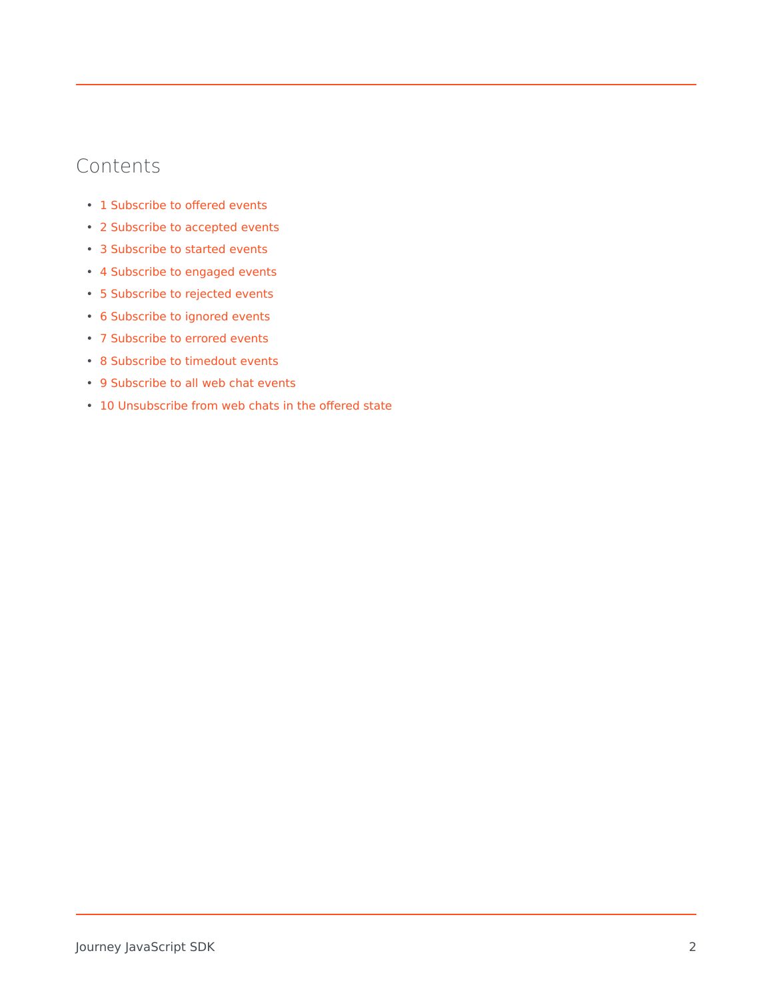# Contents

- 1 [Subscribe to offered events](#page-2-0)
- 2 [Subscribe to accepted events](#page-2-1)
- 3 [Subscribe to started events](#page-2-2)
- 4 [Subscribe to engaged events](#page-2-3)
- 5 [Subscribe to rejected events](#page-3-0)
- 6 [Subscribe to ignored events](#page-3-1)
- 7 [Subscribe to errored events](#page-3-2)
- 8 [Subscribe to timedout events](#page-3-3)
- 9 [Subscribe to all web chat events](#page-3-4)
- 10 [Unsubscribe from web chats in the offered state](#page-3-5)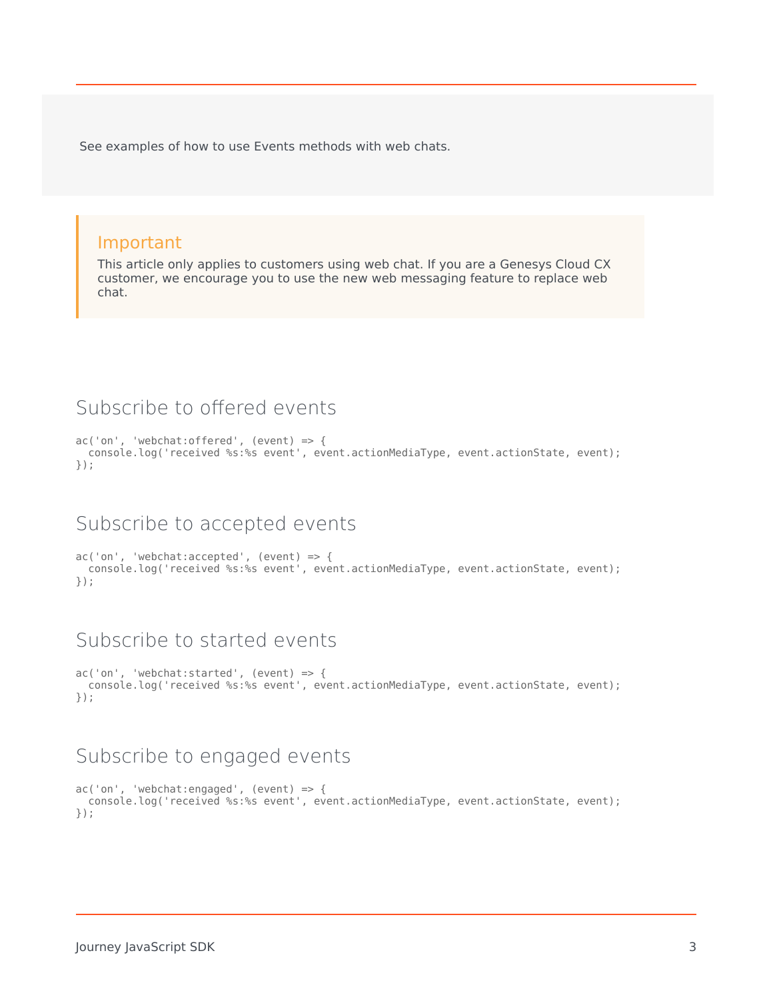See examples of how to use Events methods with web chats.

#### Important

This article only applies to customers using web chat. If you are a Genesys Cloud CX customer, we encourage you to use the new web messaging feature to replace web chat.

# <span id="page-2-0"></span>Subscribe to offered events

```
ac('on', 'webchat:offered', (event) => {
 console.log('received %s:%s event', event.actionMediaType, event.actionState, event);
});
```
#### <span id="page-2-1"></span>Subscribe to accepted events

```
ac('on', 'webchat:accepted', (event) => {
 console.log('received %s:%s event', event.actionMediaType, event.actionState, event);
});
```
# <span id="page-2-2"></span>Subscribe to started events

```
ac('on', 'webchat:started', (event) => {
  console.log('received %s:%s event', event.actionMediaType, event.actionState, event);
});
```
#### <span id="page-2-3"></span>Subscribe to engaged events

```
ac('on', 'webchat:engaged', (event) => {console.log('received %s:%s event', event.actionMediaType, event.actionState, event);
});
```